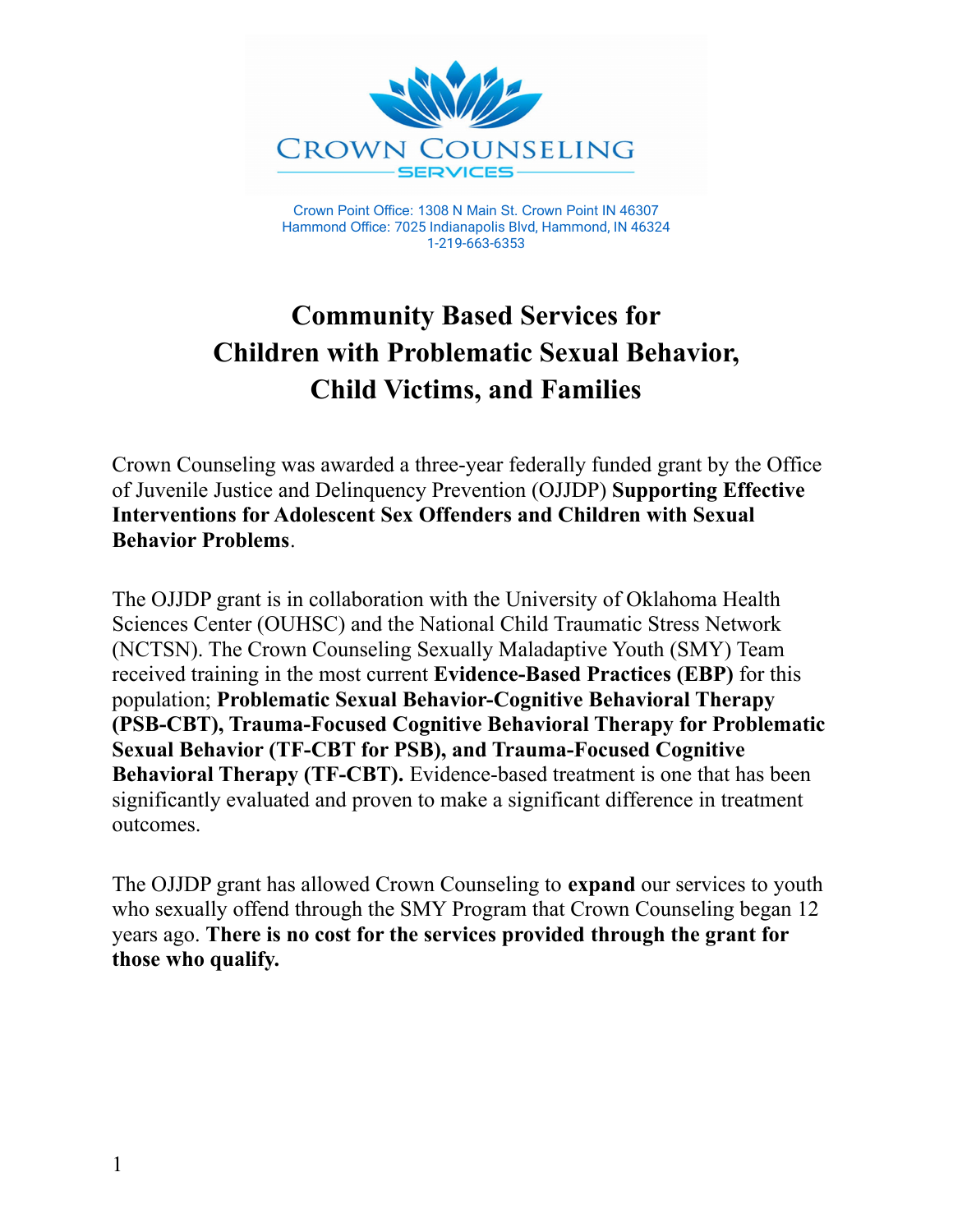

Crown Point Office: 1308 N Main St. Crown Point IN 46307 Hammond Office: 7025 Indianapolis Blvd, Hammond, IN 46324 1-219-663-6353

# **Community Based Services for Children with Problematic Sexual Behavior, Child Victims, and Families**

Crown Counseling was awarded a three-year federally funded grant by the Office of Juvenile Justice and Delinquency Prevention (OJJDP) **Supporting Effective Interventions for Adolescent Sex Offenders and Children with Sexual Behavior Problems**.

The OJJDP grant is in collaboration with the University of Oklahoma Health Sciences Center (OUHSC) and the National Child Traumatic Stress Network (NCTSN). The Crown Counseling Sexually Maladaptive Youth (SMY) Team received training in the most current **Evidence-Based Practices (EBP)** for this population; **Problematic Sexual Behavior-Cognitive Behavioral Therapy (PSB-CBT), Trauma-Focused Cognitive Behavioral Therapy for Problematic Sexual Behavior (TF-CBT for PSB), and Trauma-Focused Cognitive Behavioral Therapy (TF-CBT).** Evidence-based treatment is one that has been significantly evaluated and proven to make a significant difference in treatment outcomes.

The OJJDP grant has allowed Crown Counseling to **expand** our services to youth who sexually offend through the SMY Program that Crown Counseling began 12 years ago. **There is no cost for the services provided through the grant for those who qualify.**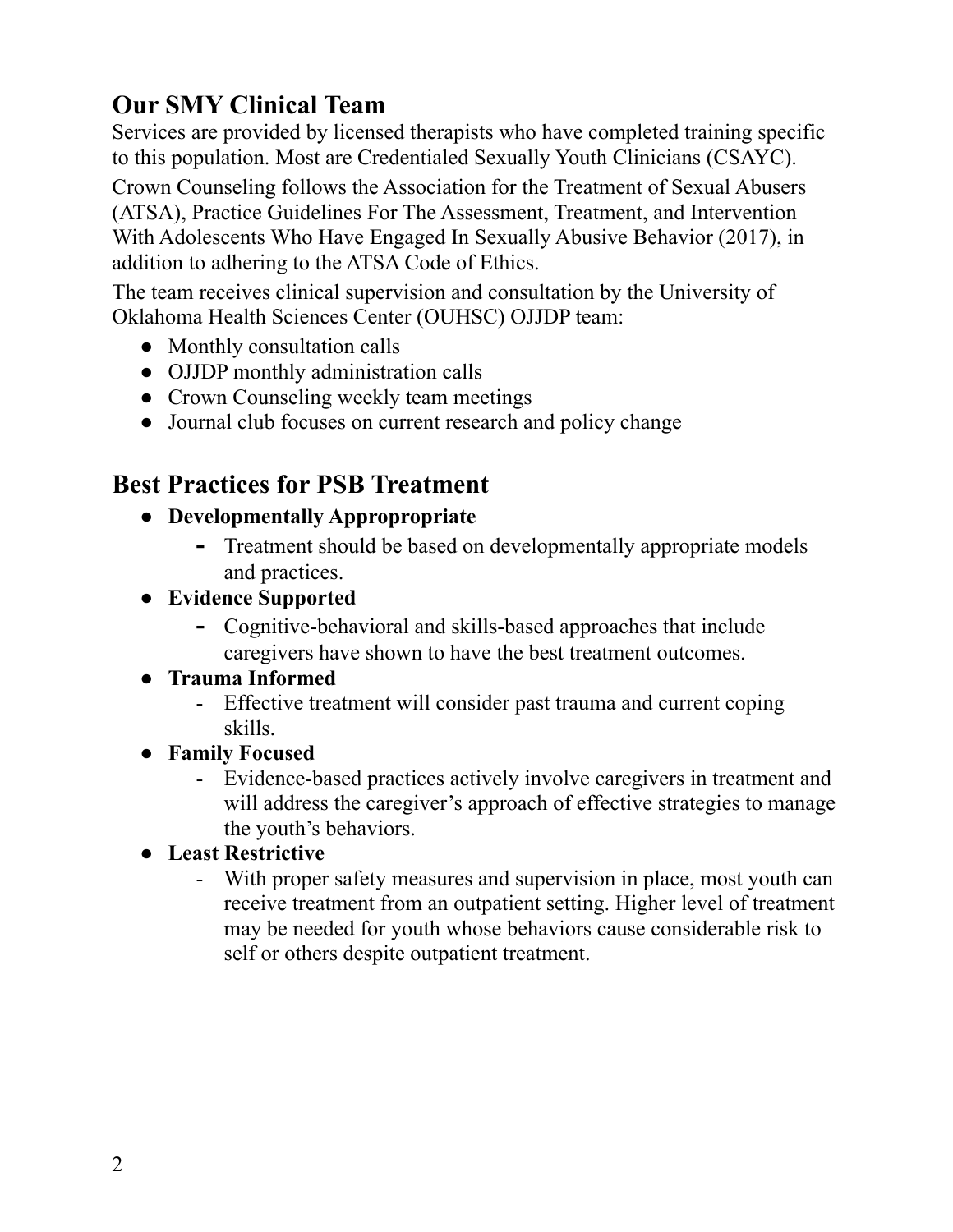# **Our SMY Clinical Team**

Services are provided by licensed therapists who have completed training specific to this population. Most are Credentialed Sexually Youth Clinicians (CSAYC).

Crown Counseling follows the Association for the Treatment of Sexual Abusers (ATSA), Practice Guidelines For The Assessment, Treatment, and Intervention With Adolescents Who Have Engaged In Sexually Abusive Behavior (2017), in addition to adhering to the ATSA Code of Ethics.

The team receives clinical supervision and consultation by the University of Oklahoma Health Sciences Center (OUHSC) OJJDP team:

- Monthly consultation calls
- OJJDP monthly administration calls
- Crown Counseling weekly team meetings
- Journal club focuses on current research and policy change

## **Best Practices for PSB Treatment**

- **● Developmentally Appropropriate**
	- **-** Treatment should be based on developmentally appropriate models and practices.
- **● Evidence Supported**
	- **-** Cognitive-behavioral and skills-based approaches that include caregivers have shown to have the best treatment outcomes.

#### **● Trauma Informed**

- Effective treatment will consider past trauma and current coping skills.
- **● Family Focused**
	- Evidence-based practices actively involve caregivers in treatment and will address the caregiver's approach of effective strategies to manage the youth's behaviors.
- **● Least Restrictive**
	- With proper safety measures and supervision in place, most youth can receive treatment from an outpatient setting. Higher level of treatment may be needed for youth whose behaviors cause considerable risk to self or others despite outpatient treatment.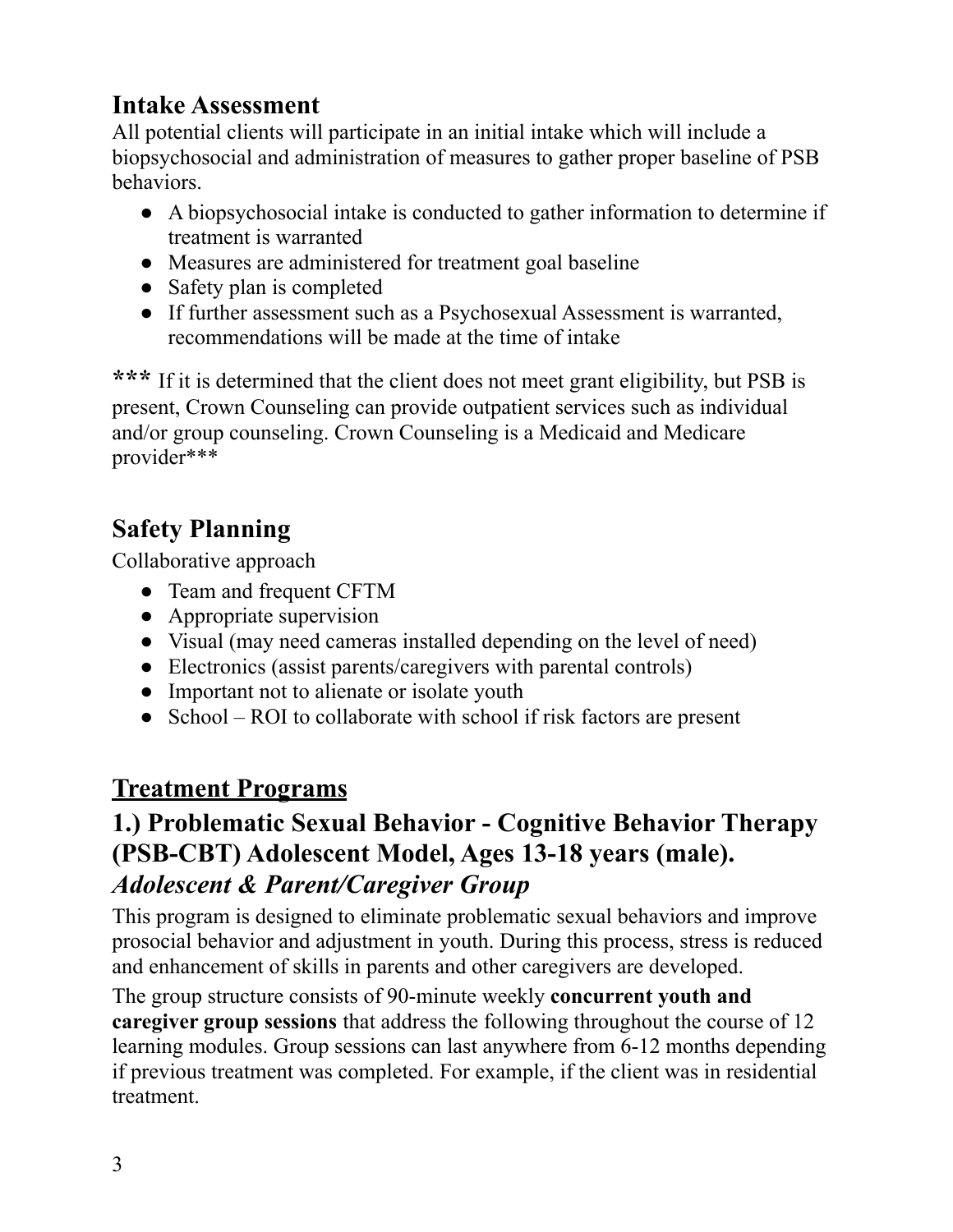## **Intake Assessment**

All potential clients will participate in an initial intake which will include a biopsychosocial and administration of measures to gather proper baseline of PSB behaviors.

- **●** A biopsychosocial intake is conducted to gather information to determine if treatment is warranted
- Measures are administered for treatment goal baseline
- Safety plan is completed
- If further assessment such as a Psychosexual Assessment is warranted, recommendations will be made at the time of intake

**\*\*\*** If it is determined that the client does not meet grant eligibility, but PSB is present, Crown Counseling can provide outpatient services such as individual and/or group counseling. Crown Counseling is a Medicaid and Medicare provider\*\*\*

# **Safety Planning**

Collaborative approach

- Team and frequent CFTM
- Appropriate supervision
- Visual (may need cameras installed depending on the level of need)
- Electronics (assist parents/caregivers with parental controls)
- Important not to alienate or isolate youth
- School ROI to collaborate with school if risk factors are present

# **Treatment Programs**

## **1.) Problematic Sexual Behavior - Cognitive Behavior Therapy (PSB-CBT) Adolescent Model, Ages 13-18 years (male).** *Adolescent & Parent/Caregiver Group*

This program is designed to eliminate problematic sexual behaviors and improve prosocial behavior and adjustment in youth. During this process, stress is reduced and enhancement of skills in parents and other caregivers are developed.

The group structure consists of 90-minute weekly **concurrent youth and caregiver group sessions** that address the following throughout the course of 12 learning modules. Group sessions can last anywhere from 6-12 months depending if previous treatment was completed. For example, if the client was in residential treatment.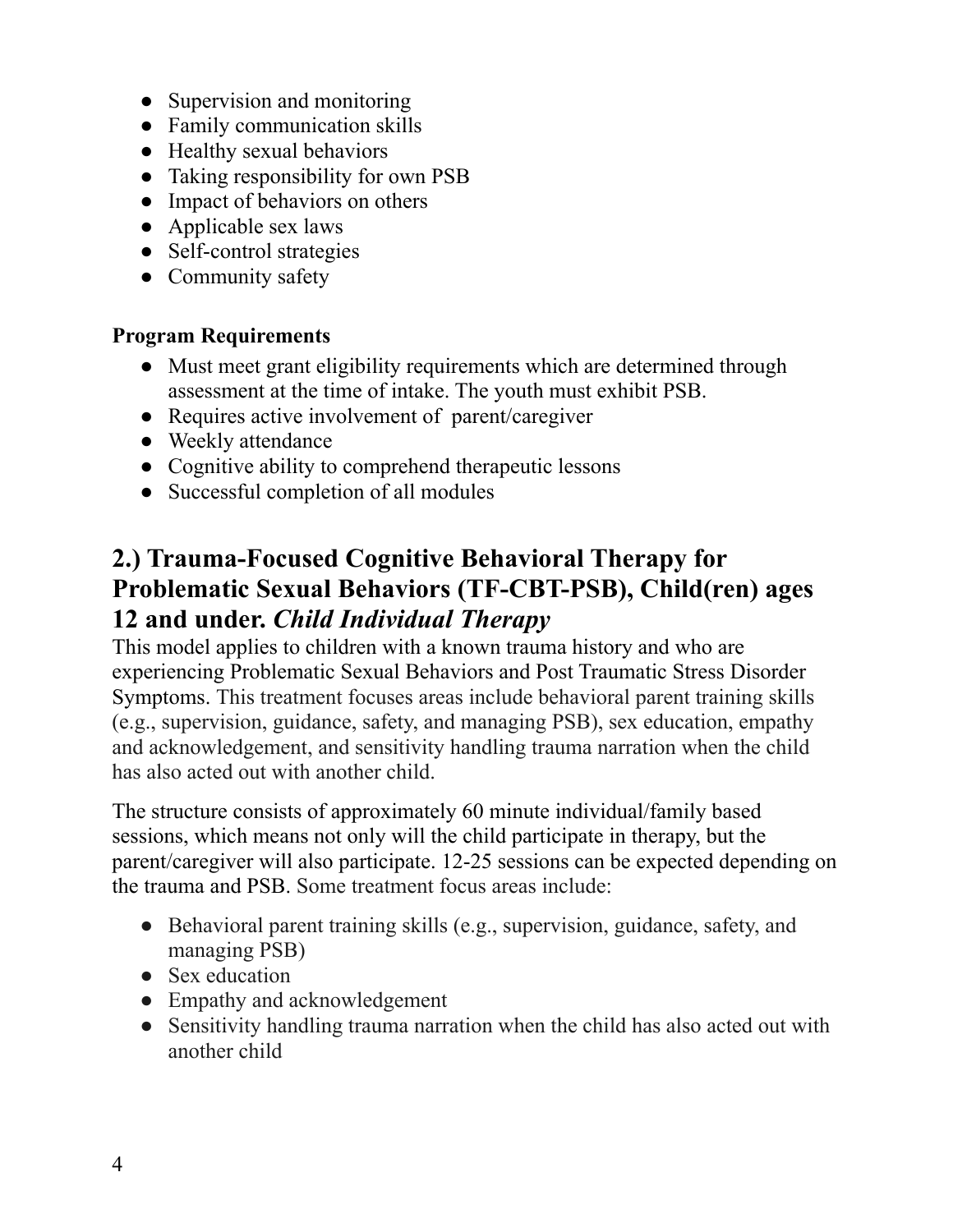- Supervision and monitoring
- Family communication skills
- Healthy sexual behaviors
- Taking responsibility for own PSB
- Impact of behaviors on others
- Applicable sex laws
- Self-control strategies
- Community safety

#### **Program Requirements**

- Must meet grant eligibility requirements which are determined through assessment at the time of intake. The youth must exhibit PSB.
- Requires active involvement of parent/caregiver
- Weekly attendance
- Cognitive ability to comprehend therapeutic lessons
- Successful completion of all modules

### **2.) Trauma-Focused Cognitive Behavioral Therapy for Problematic Sexual Behaviors (TF-CBT-PSB), Child(ren) ages 12 and under.** *Child Individual Therapy*

This model applies to children with a known trauma history and who are experiencing Problematic Sexual Behaviors and Post Traumatic Stress Disorder Symptoms. This treatment focuses areas include behavioral parent training skills (e.g., supervision, guidance, safety, and managing PSB), sex education, empathy and acknowledgement, and sensitivity handling trauma narration when the child has also acted out with another child.

The structure consists of approximately 60 minute individual/family based sessions, which means not only will the child participate in therapy, but the parent/caregiver will also participate. 12-25 sessions can be expected depending on the trauma and PSB. Some treatment focus areas include:

- Behavioral parent training skills (e.g., supervision, guidance, safety, and managing PSB)
- Sex education
- Empathy and acknowledgement
- Sensitivity handling trauma narration when the child has also acted out with another child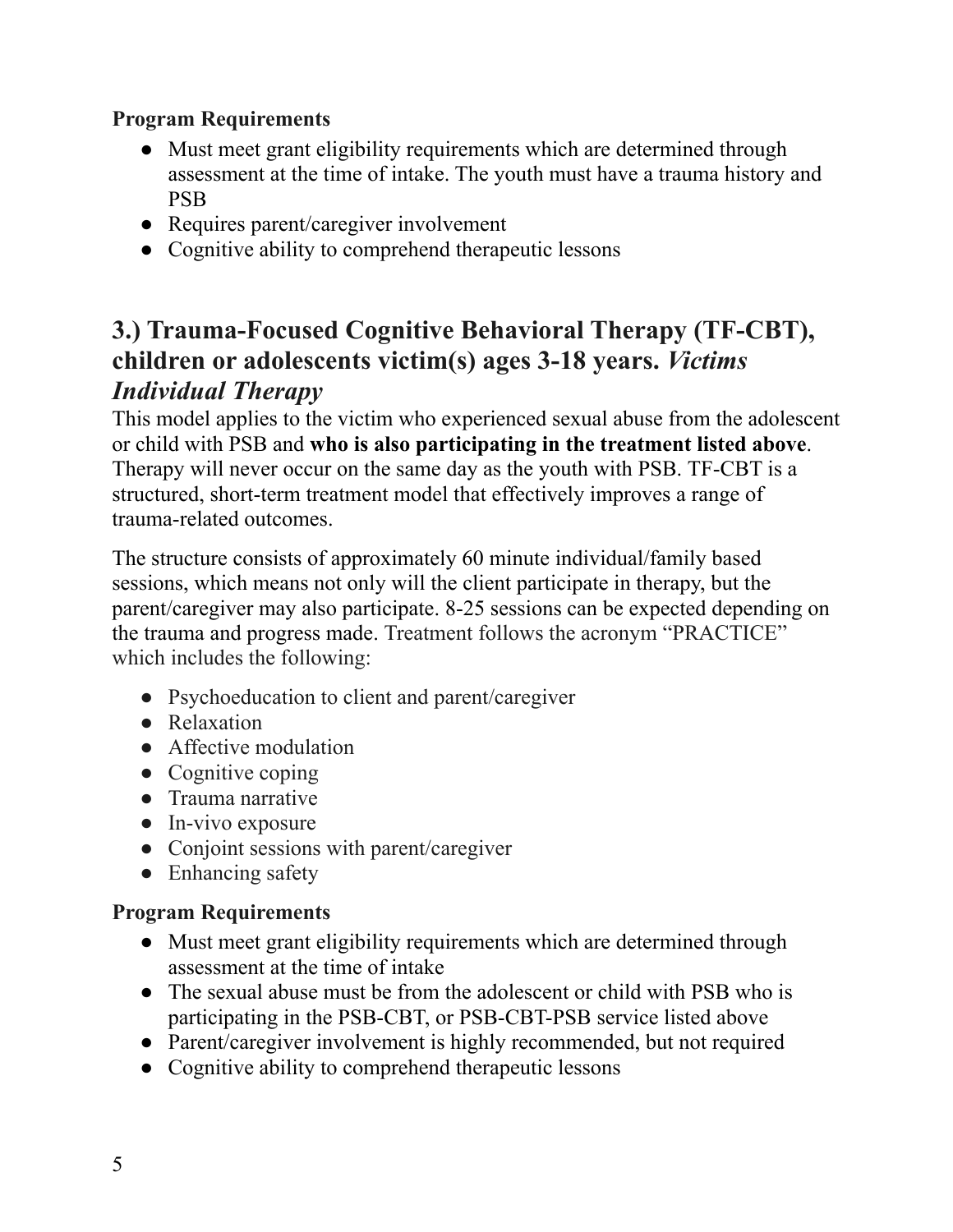#### **Program Requirements**

- Must meet grant eligibility requirements which are determined through assessment at the time of intake. The youth must have a trauma history and PSB
- Requires parent/caregiver involvement
- Cognitive ability to comprehend therapeutic lessons

### **3.) Trauma-Focused Cognitive Behavioral Therapy (TF-CBT), children or adolescents victim(s) ages 3-18 years.** *Victims Individual Therapy*

This model applies to the victim who experienced sexual abuse from the adolescent or child with PSB and **who is also participating in the treatment listed above**. Therapy will never occur on the same day as the youth with PSB. TF-CBT is a structured, short-term treatment model that effectively improves a range of trauma-related outcomes.

The structure consists of approximately 60 minute individual/family based sessions, which means not only will the client participate in therapy, but the parent/caregiver may also participate. 8-25 sessions can be expected depending on the trauma and progress made. Treatment follows the acronym "PRACTICE" which includes the following:

- Psychoeducation to client and parent/caregiver
- Relaxation
- Affective modulation
- Cognitive coping
- Trauma narrative
- In-vivo exposure
- Conjoint sessions with parent/caregiver
- Enhancing safety

#### **Program Requirements**

- Must meet grant eligibility requirements which are determined through assessment at the time of intake
- The sexual abuse must be from the adolescent or child with PSB who is participating in the PSB-CBT, or PSB-CBT-PSB service listed above
- Parent/caregiver involvement is highly recommended, but not required
- Cognitive ability to comprehend therapeutic lessons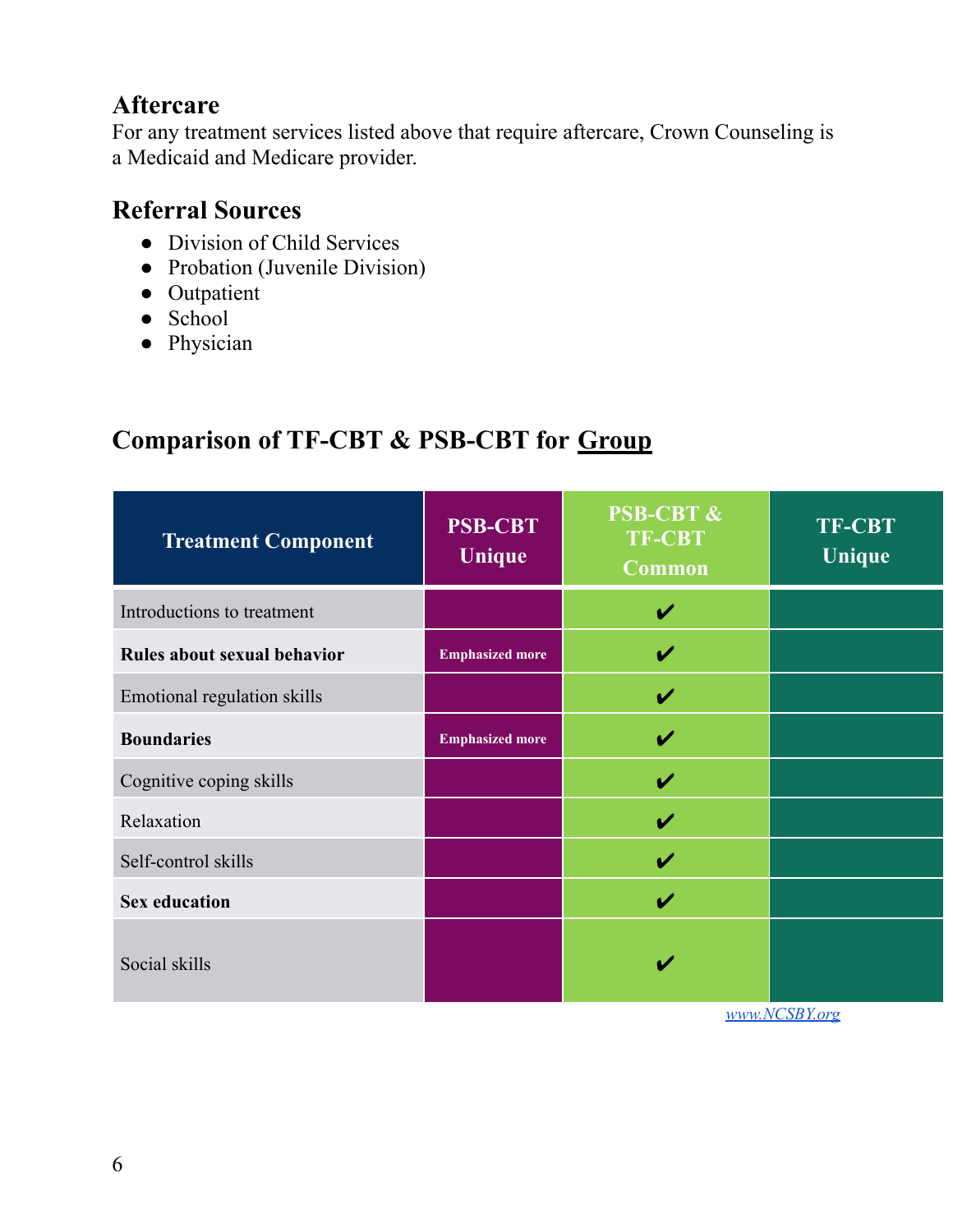### **Aftercare**

For any treatment services listed above that require aftercare, Crown Counseling is a Medicaid and Medicare provider.

#### **Referral Sources**

- Division of Child Services
- Probation (Juvenile Division)
- Outpatient
- School
- Physician

# **Comparison of TF-CBT & PSB-CBT for Group**

| <b>Treatment Component</b>  | <b>PSB-CBT</b><br>Unique | <b>PSB-CBT &amp;</b><br><b>TF-CBT</b><br><b>Common</b> | <b>TF-CBT</b><br>Unique |
|-----------------------------|--------------------------|--------------------------------------------------------|-------------------------|
| Introductions to treatment  |                          | V                                                      |                         |
| Rules about sexual behavior | <b>Emphasized more</b>   | V                                                      |                         |
| Emotional regulation skills |                          | V                                                      |                         |
| <b>Boundaries</b>           | <b>Emphasized more</b>   | V                                                      |                         |
| Cognitive coping skills     |                          | V                                                      |                         |
| Relaxation                  |                          | V                                                      |                         |
| Self-control skills         |                          | V                                                      |                         |
| <b>Sex education</b>        |                          | V                                                      |                         |
| Social skills               |                          | V                                                      |                         |

*[www.NCSBY.org](http://www.ncsby.org)*